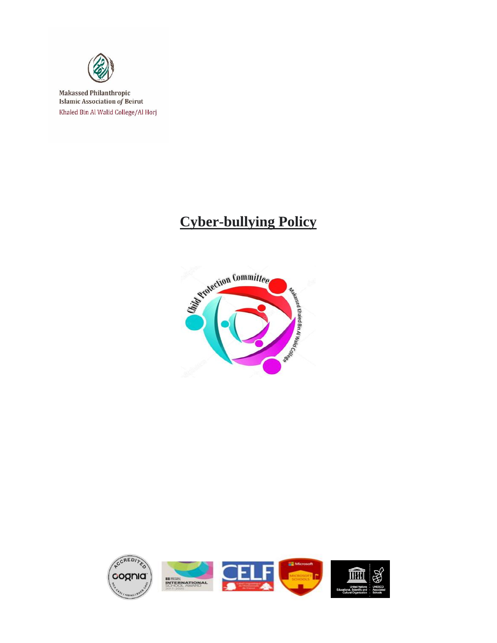

Makassed Philanthropic **Islamic Association of Beirut** Khaled Bin Al Walid College/Al Horj

## **Cyber-bullying Policy**



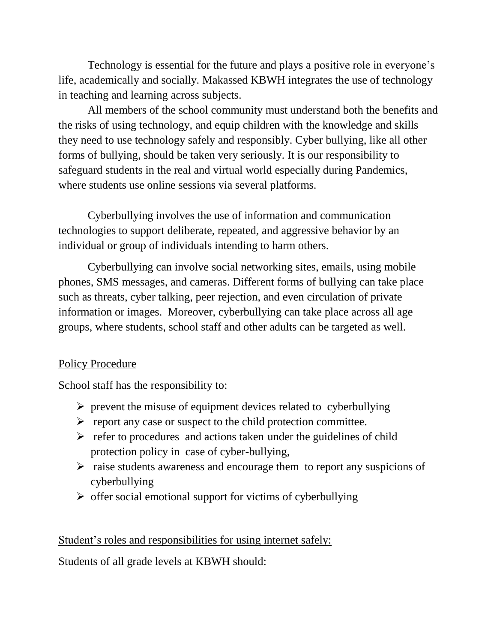Technology is essential for the future and plays a positive role in everyone's life, academically and socially. Makassed KBWH integrates the use of technology in teaching and learning across subjects.

All members of the school community must understand both the benefits and the risks of using technology, and equip children with the knowledge and skills they need to use technology safely and responsibly. Cyber bullying, like all other forms of bullying, should be taken very seriously. It is our responsibility to safeguard students in the real and virtual world especially during Pandemics, where students use online sessions via several platforms.

Cyberbullying involves the use of information and communication technologies to support deliberate, repeated, and aggressive behavior by an individual or group of individuals intending to harm others.

Cyberbullying can involve social networking sites, emails, using mobile phones, SMS messages, and cameras. Different forms of bullying can take place such as threats, cyber talking, peer rejection, and even circulation of private information or images. Moreover, cyberbullying can take place across all age groups, where students, school staff and other adults can be targeted as well.

## Policy Procedure

School staff has the responsibility to:

- $\triangleright$  prevent the misuse of equipment devices related to cyberbullying
- $\triangleright$  report any case or suspect to the child protection committee.
- $\triangleright$  refer to procedures and actions taken under the guidelines of child protection policy in case of cyber-bullying,
- $\triangleright$  raise students awareness and encourage them to report any suspicions of cyberbullying
- $\triangleright$  offer social emotional support for victims of cyberbullying

## Student's roles and responsibilities for using internet safely:

Students of all grade levels at KBWH should: